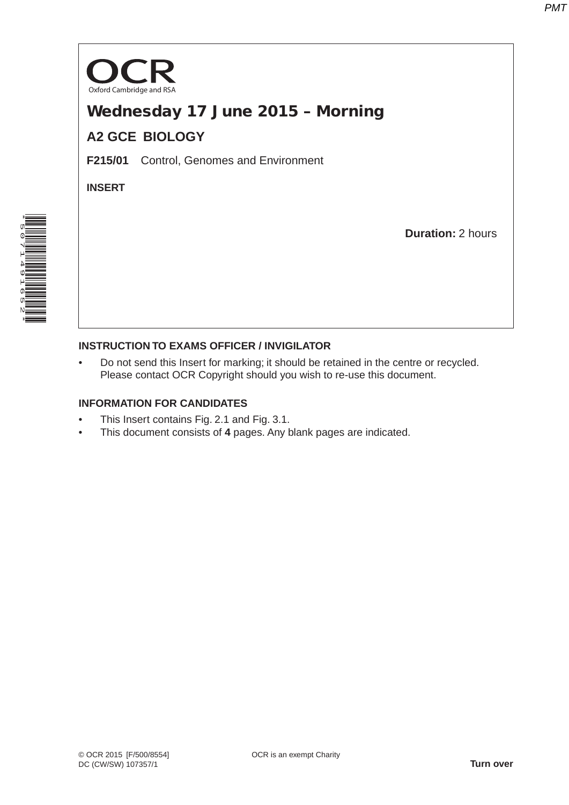

# Wednesday 17 June 2015 – Morning

## **A2 GCE BIOLOGY**

**F215/01** Control, Genomes and Environment

**INSERT**

**Duration:** 2 hours



### **INSTRUCTION TO EXAMS OFFICER / INVIGILATOR**

• Do not send this Insert for marking; it should be retained in the centre or recycled. Please contact OCR Copyright should you wish to re-use this document.

#### **INFORMATION FOR CANDIDATES**

- This Insert contains Fig. 2.1 and Fig. 3.1.
- This document consists of **4** pages. Any blank pages are indicated.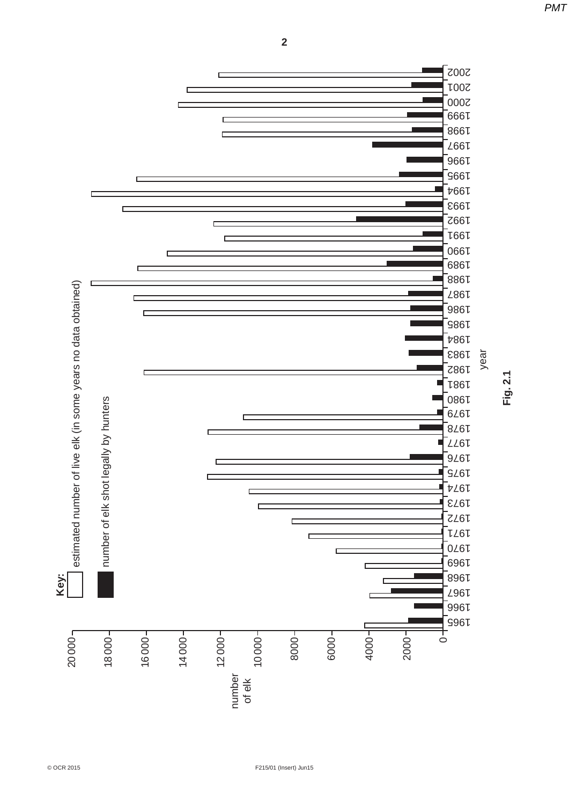2002 2001 ۔<br>2000 -<br>1666 آ 1998 d .<br>166∡  $966V$ ۔<br>966 ہ г ـ<br>166⊄ ً .<br>1993`  $\Box$ ۔<br>766⊾ г .<br>166µ d س<br>1990 ً 1989 .<br>886↓ estimated number of live elk (in some years no data obtained)  $20000$ <sup>-</sup>  $\Box$  estimated number of live elk (in some years no data obtained) .<br>⊻967 ً ۔<br>986 ا ۔<br>986ء .<br>196∦ year 1983 1982 1981 1980 number of elk shot legally by hunters number of elk shot legally by hunters .<br>16∠6 آ г .<br>8∠6↓  $L26L$ .<br>9∠6↓ 1975 -<br>16∡† d .<br>16⊥3 ً 1972  $LL6L$ D 1970 d 1969 ـ<br>1996 -**Key:** ـ<br>196∦ .<br>996 ا ۔<br>996ء  $1 - 0004$ 2000<sup>-</sup> 6000 20000 18 000 16 000 14 000 12 000 10000 8000  $\circ$ number of elk

**Fig. 2.1**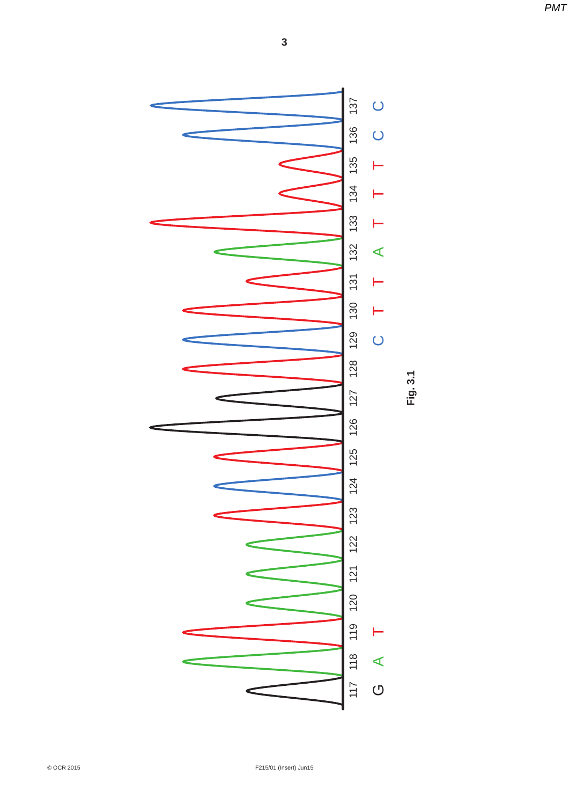*PMT*